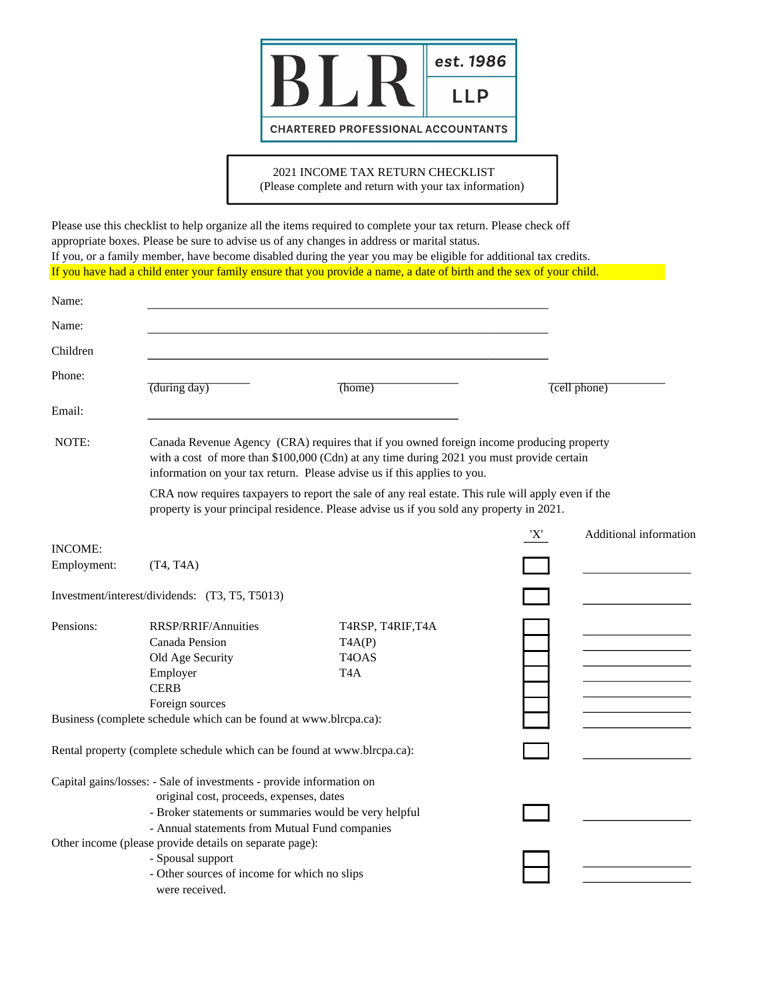

## 2021 INCOME TAX RETURN CHECKLIST

(Please complete and return with your tax information)

Please use this checklist to help organize all the items required to complete your tax return. Please check off appropriate boxes. Please be sure to advise us of any changes in address or marital status. If you, or a family member, have become disabled during the year you may be eligible for additional tax credits. If you have had a child enter your family ensure that you provide a name, a date of birth and the sex of your child.

| Name:          |                                                                                                                                                                                                                                                                   |                                                                                                                                                                                                |     |                        |  |  |  |
|----------------|-------------------------------------------------------------------------------------------------------------------------------------------------------------------------------------------------------------------------------------------------------------------|------------------------------------------------------------------------------------------------------------------------------------------------------------------------------------------------|-----|------------------------|--|--|--|
| Name:          |                                                                                                                                                                                                                                                                   |                                                                                                                                                                                                |     |                        |  |  |  |
| Children       |                                                                                                                                                                                                                                                                   |                                                                                                                                                                                                |     |                        |  |  |  |
| Phone:         | (during day)                                                                                                                                                                                                                                                      | (home)                                                                                                                                                                                         |     | (cell phone)           |  |  |  |
| Email:         |                                                                                                                                                                                                                                                                   |                                                                                                                                                                                                |     |                        |  |  |  |
| NOTE:          | Canada Revenue Agency (CRA) requires that if you owned foreign income producing property<br>with a cost of more than \$100,000 (Cdn) at any time during 2021 you must provide certain<br>information on your tax return. Please advise us if this applies to you. |                                                                                                                                                                                                |     |                        |  |  |  |
|                |                                                                                                                                                                                                                                                                   | CRA now requires taxpayers to report the sale of any real estate. This rule will apply even if the<br>property is your principal residence. Please advise us if you sold any property in 2021. |     |                        |  |  |  |
|                |                                                                                                                                                                                                                                                                   |                                                                                                                                                                                                | 'X' | Additional information |  |  |  |
| <b>INCOME:</b> |                                                                                                                                                                                                                                                                   |                                                                                                                                                                                                |     |                        |  |  |  |
| Employment:    | (T4, T4A)                                                                                                                                                                                                                                                         |                                                                                                                                                                                                |     |                        |  |  |  |
|                | Investment/interest/dividends: (T3, T5, T5013)                                                                                                                                                                                                                    |                                                                                                                                                                                                |     |                        |  |  |  |
| Pensions:      | <b>RRSP/RRIF/Annuities</b><br>Canada Pension<br>Old Age Security<br>Employer<br><b>CERB</b>                                                                                                                                                                       | T4RSP, T4RIF, T4A<br>TAAP<br>T <sub>4</sub> OAS<br>T <sub>4</sub> A                                                                                                                            |     |                        |  |  |  |
|                | Foreign sources                                                                                                                                                                                                                                                   |                                                                                                                                                                                                |     |                        |  |  |  |
|                | Business (complete schedule which can be found at www.blrcpa.ca):                                                                                                                                                                                                 |                                                                                                                                                                                                |     |                        |  |  |  |
|                | Rental property (complete schedule which can be found at www.blrcpa.ca):                                                                                                                                                                                          |                                                                                                                                                                                                |     |                        |  |  |  |
|                | Capital gains/losses: - Sale of investments - provide information on<br>original cost, proceeds, expenses, dates<br>- Broker statements or summaries would be very helpful<br>- Annual statements from Mutual Fund companies                                      |                                                                                                                                                                                                |     |                        |  |  |  |
|                | Other income (please provide details on separate page):<br>- Spousal support<br>- Other sources of income for which no slips<br>were received.                                                                                                                    |                                                                                                                                                                                                |     |                        |  |  |  |